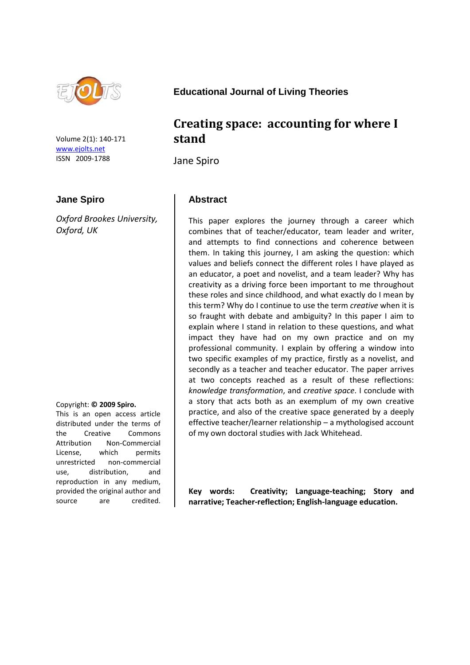

Volume 2(1): 140-171 [www.ejolts.net](http://www.ejolts.net/) ISSN 2009-1788

#### **Jane Spiro**

*Oxford Brookes University, Oxford, UK*

#### Copyright: **© 2009 Spiro.**

This is an open access article distributed under the terms of the Creative Commons Attribution Non-Commercial License, which permits unrestricted non-commercial use, distribution, and reproduction in any medium, provided the original author and source are credited.

**Educational Journal of Living Theories**

## **Creating space: accounting for where I stand**

Jane Spiro

#### **Abstract**

This paper explores the journey through a career which combines that of teacher/educator, team leader and writer, and attempts to find connections and coherence between them. In taking this journey, I am asking the question: which values and beliefs connect the different roles I have played as an educator, a poet and novelist, and a team leader? Why has creativity as a driving force been important to me throughout these roles and since childhood, and what exactly do I mean by this term? Why do I continue to use the term *creative* when it is so fraught with debate and ambiguity? In this paper I aim to explain where I stand in relation to these questions, and what impact they have had on my own practice and on my professional community. I explain by offering a window into two specific examples of my practice, firstly as a novelist, and secondly as a teacher and teacher educator. The paper arrives at two concepts reached as a result of these reflections: *knowledge transformation*, and *creative space*. I conclude with a story that acts both as an exemplum of my own creative practice, and also of the creative space generated by a deeply effective teacher/learner relationship – a mythologised account of my own doctoral studies with Jack Whitehead.

**Key words: Creativity; Language-teaching; Story and narrative; Teacher-reflection; English-language education.**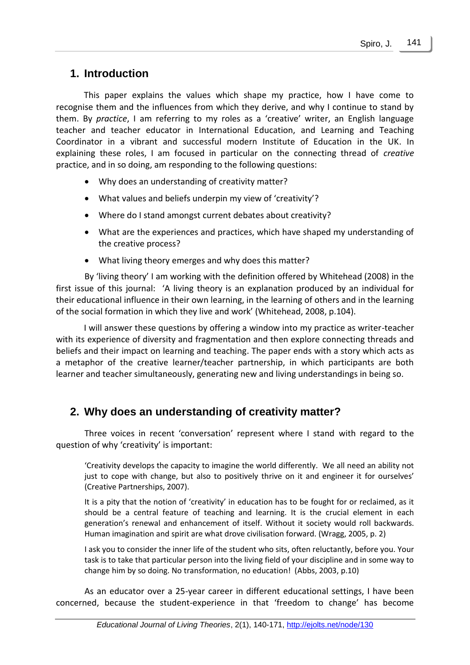## **1. Introduction**

This paper explains the values which shape my practice, how I have come to recognise them and the influences from which they derive, and why I continue to stand by them. By *practice*, I am referring to my roles as a 'creative' writer, an English language teacher and teacher educator in International Education, and Learning and Teaching Coordinator in a vibrant and successful modern Institute of Education in the UK. In explaining these roles, I am focused in particular on the connecting thread of *creative* practice, and in so doing, am responding to the following questions:

- Why does an understanding of creativity matter?
- What values and beliefs underpin my view of 'creativity'?
- Where do I stand amongst current debates about creativity?
- What are the experiences and practices, which have shaped my understanding of the creative process?
- What living theory emerges and why does this matter?

By 'living theory' I am working with the definition offered by Whitehead (2008) in the first issue of this journal: 'A living theory is an explanation produced by an individual for their educational influence in their own learning, in the learning of others and in the learning of the social formation in which they live and work' (Whitehead, 2008, p.104).

I will answer these questions by offering a window into my practice as writer-teacher with its experience of diversity and fragmentation and then explore connecting threads and beliefs and their impact on learning and teaching. The paper ends with a story which acts as a metaphor of the creative learner/teacher partnership, in which participants are both learner and teacher simultaneously, generating new and living understandings in being so.

## **2. Why does an understanding of creativity matter?**

Three voices in recent 'conversation' represent where I stand with regard to the question of why 'creativity' is important:

'Creativity develops the capacity to imagine the world differently. We all need an ability not just to cope with change, but also to positively thrive on it and engineer it for ourselves' (Creative Partnerships, 2007).

It is a pity that the notion of 'creativity' in education has to be fought for or reclaimed, as it should be a central feature of teaching and learning. It is the crucial element in each generation's renewal and enhancement of itself. Without it society would roll backwards. Human imagination and spirit are what drove civilisation forward. (Wragg, 2005, p. 2)

I ask you to consider the inner life of the student who sits, often reluctantly, before you. Your task is to take that particular person into the living field of your discipline and in some way to change him by so doing. No transformation, no education! (Abbs, 2003, p.10)

As an educator over a 25-year career in different educational settings, I have been concerned, because the student-experience in that 'freedom to change' has become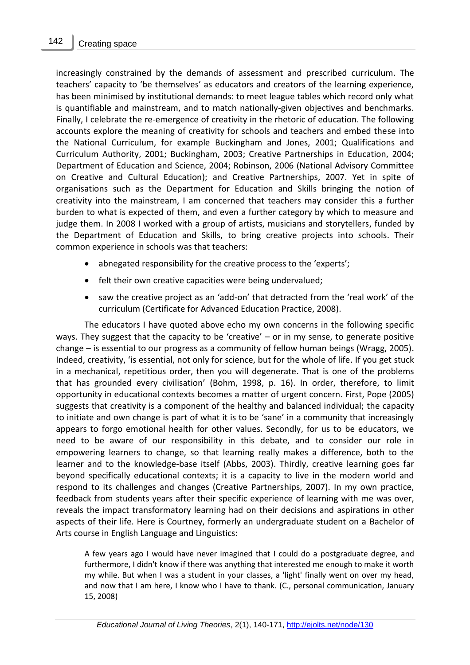increasingly constrained by the demands of assessment and prescribed curriculum. The teachers' capacity to 'be themselves' as educators and creators of the learning experience, has been minimised by institutional demands: to meet league tables which record only what is quantifiable and mainstream, and to match nationally-given objectives and benchmarks. Finally, I celebrate the re-emergence of creativity in the rhetoric of education. The following accounts explore the meaning of creativity for schools and teachers and embed these into the National Curriculum, for example Buckingham and Jones, 2001; Qualifications and Curriculum Authority, 2001; Buckingham, 2003; Creative Partnerships in Education, 2004; Department of Education and Science, 2004; Robinson, 2006 (National Advisory Committee on Creative and Cultural Education); and Creative Partnerships, 2007. Yet in spite of organisations such as the Department for Education and Skills bringing the notion of creativity into the mainstream, I am concerned that teachers may consider this a further burden to what is expected of them, and even a further category by which to measure and judge them. In 2008 I worked with a group of artists, musicians and storytellers, funded by the Department of Education and Skills, to bring creative projects into schools. Their common experience in schools was that teachers:

- abnegated responsibility for the creative process to the 'experts';
- felt their own creative capacities were being undervalued;
- saw the creative project as an 'add-on' that detracted from the 'real work' of the curriculum (Certificate for Advanced Education Practice, 2008).

The educators I have quoted above echo my own concerns in the following specific ways. They suggest that the capacity to be 'creative' – or in my sense, to generate positive change – is essential to our progress as a community of fellow human beings (Wragg, 2005). Indeed, creativity, 'is essential, not only for science, but for the whole of life. If you get stuck in a mechanical, repetitious order, then you will degenerate. That is one of the problems that has grounded every civilisation' (Bohm, 1998, p. 16). In order, therefore, to limit opportunity in educational contexts becomes a matter of urgent concern. First, Pope (2005) suggests that creativity is a component of the healthy and balanced individual; the capacity to initiate and own change is part of what it is to be 'sane' in a community that increasingly appears to forgo emotional health for other values. Secondly, for us to be educators, we need to be aware of our responsibility in this debate, and to consider our role in empowering learners to change, so that learning really makes a difference, both to the learner and to the knowledge-base itself (Abbs, 2003). Thirdly, creative learning goes far beyond specifically educational contexts; it is a capacity to live in the modern world and respond to its challenges and changes (Creative Partnerships, 2007). In my own practice, feedback from students years after their specific experience of learning with me was over, reveals the impact transformatory learning had on their decisions and aspirations in other aspects of their life. Here is Courtney, formerly an undergraduate student on a Bachelor of Arts course in English Language and Linguistics:

A few years ago I would have never imagined that I could do a postgraduate degree, and furthermore, I didn't know if there was anything that interested me enough to make it worth my while. But when I was a student in your classes, a 'light' finally went on over my head, and now that I am here, I know who I have to thank. (C., personal communication, January 15, 2008)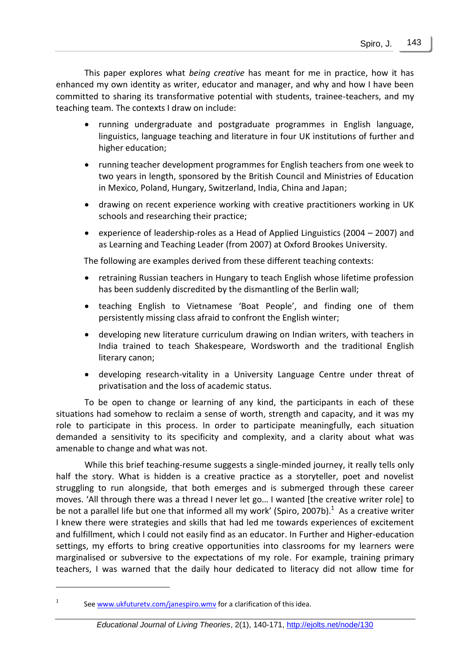This paper explores what *being creative* has meant for me in practice, how it has enhanced my own identity as writer, educator and manager, and why and how I have been committed to sharing its transformative potential with students, trainee-teachers, and my teaching team. The contexts I draw on include:

- running undergraduate and postgraduate programmes in English language, linguistics, language teaching and literature in four UK institutions of further and higher education;
- running teacher development programmes for English teachers from one week to two years in length, sponsored by the British Council and Ministries of Education in Mexico, Poland, Hungary, Switzerland, India, China and Japan;
- drawing on recent experience working with creative practitioners working in UK schools and researching their practice;
- experience of leadership-roles as a Head of Applied Linguistics (2004 2007) and as Learning and Teaching Leader (from 2007) at Oxford Brookes University.

The following are examples derived from these different teaching contexts:

- retraining Russian teachers in Hungary to teach English whose lifetime profession has been suddenly discredited by the dismantling of the Berlin wall;
- teaching English to Vietnamese 'Boat People', and finding one of them persistently missing class afraid to confront the English winter;
- developing new literature curriculum drawing on Indian writers, with teachers in India trained to teach Shakespeare, Wordsworth and the traditional English literary canon;
- developing research-vitality in a University Language Centre under threat of privatisation and the loss of academic status.

To be open to change or learning of any kind, the participants in each of these situations had somehow to reclaim a sense of worth, strength and capacity, and it was my role to participate in this process. In order to participate meaningfully, each situation demanded a sensitivity to its specificity and complexity, and a clarity about what was amenable to change and what was not.

While this brief teaching-resume suggests a single-minded journey, it really tells only half the story. What is hidden is a creative practice as a storyteller, poet and novelist struggling to run alongside, that both emerges and is submerged through these career moves. 'All through there was a thread I never let go... I wanted [the creative writer role] to be not a parallel life but one that informed all my work' (Spiro, 2007b). $^1$  As a creative writer I knew there were strategies and skills that had led me towards experiences of excitement and fulfillment, which I could not easily find as an educator. In Further and Higher-education settings, my efforts to bring creative opportunities into classrooms for my learners were marginalised or subversive to the expectations of my role. For example, training primary teachers, I was warned that the daily hour dedicated to literacy did not allow time for

See [www.ukfuturetv.com/janespiro.wmv](http://www.ukfuturetv.com/janespiro.wmv) for a clarification of this idea.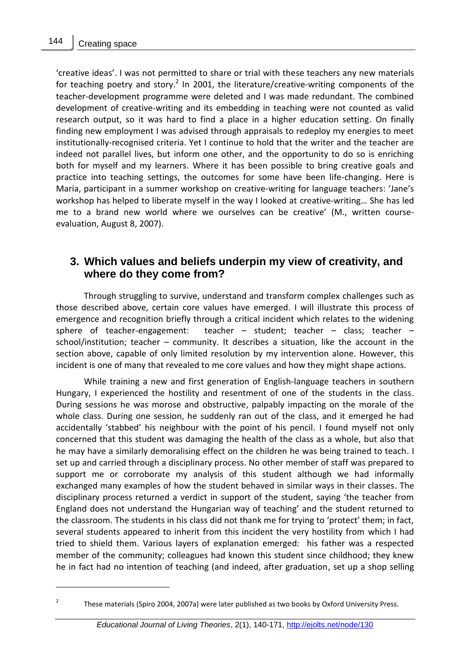$\overline{a}$ 2

'creative ideas'. I was not permitted to share or trial with these teachers any new materials for teaching poetry and story.<sup>2</sup> In 2001, the literature/creative-writing components of the teacher-development programme were deleted and I was made redundant. The combined development of creative-writing and its embedding in teaching were not counted as valid research output, so it was hard to find a place in a higher education setting. On finally finding new employment I was advised through appraisals to redeploy my energies to meet institutionally-recognised criteria. Yet I continue to hold that the writer and the teacher are indeed not parallel lives, but inform one other, and the opportunity to do so is enriching both for myself and my learners. Where it has been possible to bring creative goals and practice into teaching settings, the outcomes for some have been life-changing. Here is Maria, participant in a summer workshop on creative-writing for language teachers: 'Jane's workshop has helped to liberate myself in the way I looked at creative-writing… She has led me to a brand new world where we ourselves can be creative' (M., written courseevaluation, August 8, 2007).

## **3. Which values and beliefs underpin my view of creativity, and where do they come from?**

Through struggling to survive, understand and transform complex challenges such as those described above, certain core values have emerged. I will illustrate this process of emergence and recognition briefly through a critical incident which relates to the widening sphere of teacher-engagement: teacher – student; teacher – class; teacher – school/institution; teacher – community. It describes a situation, like the account in the section above, capable of only limited resolution by my intervention alone. However, this incident is one of many that revealed to me core values and how they might shape actions.

While training a new and first generation of English-language teachers in southern Hungary, I experienced the hostility and resentment of one of the students in the class. During sessions he was morose and obstructive, palpably impacting on the morale of the whole class. During one session, he suddenly ran out of the class, and it emerged he had accidentally 'stabbed' his neighbour with the point of his pencil. I found myself not only concerned that this student was damaging the health of the class as a whole, but also that he may have a similarly demoralising effect on the children he was being trained to teach. I set up and carried through a disciplinary process. No other member of staff was prepared to support me or corroborate my analysis of this student although we had informally exchanged many examples of how the student behaved in similar ways in their classes. The disciplinary process returned a verdict in support of the student, saying 'the teacher from England does not understand the Hungarian way of teaching' and the student returned to the classroom. The students in his class did not thank me for trying to 'protect' them; in fact, several students appeared to inherit from this incident the very hostility from which I had tried to shield them. Various layers of explanation emerged: his father was a respected member of the community; colleagues had known this student since childhood; they knew he in fact had no intention of teaching (and indeed, after graduation, set up a shop selling

These materials (Spiro 2004, 2007a) were later published as two books by Oxford University Press.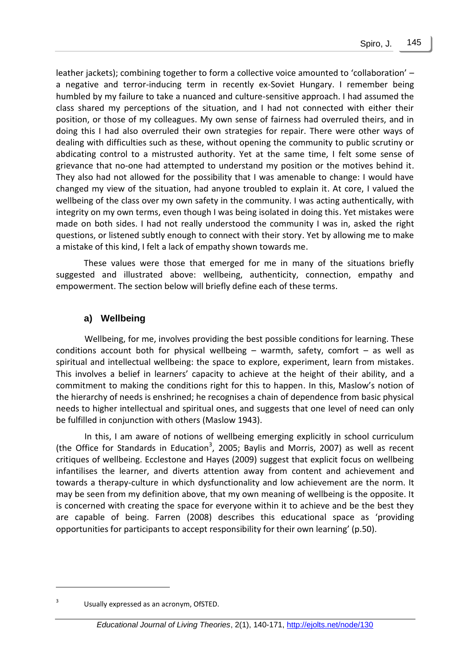leather jackets); combining together to form a collective voice amounted to 'collaboration' – a negative and terror-inducing term in recently ex-Soviet Hungary. I remember being humbled by my failure to take a nuanced and culture-sensitive approach. I had assumed the class shared my perceptions of the situation, and I had not connected with either their position, or those of my colleagues. My own sense of fairness had overruled theirs, and in doing this I had also overruled their own strategies for repair. There were other ways of dealing with difficulties such as these, without opening the community to public scrutiny or abdicating control to a mistrusted authority. Yet at the same time, I felt some sense of grievance that no-one had attempted to understand my position or the motives behind it. They also had not allowed for the possibility that I was amenable to change: I would have changed my view of the situation, had anyone troubled to explain it. At core, I valued the wellbeing of the class over my own safety in the community. I was acting authentically, with integrity on my own terms, even though I was being isolated in doing this. Yet mistakes were made on both sides. I had not really understood the community I was in, asked the right questions, or listened subtly enough to connect with their story. Yet by allowing me to make a mistake of this kind, I felt a lack of empathy shown towards me.

These values were those that emerged for me in many of the situations briefly suggested and illustrated above: wellbeing, authenticity, connection, empathy and empowerment. The section below will briefly define each of these terms.

#### **a) Wellbeing**

Wellbeing, for me, involves providing the best possible conditions for learning. These conditions account both for physical wellbeing  $-$  warmth, safety, comfort  $-$  as well as spiritual and intellectual wellbeing: the space to explore, experiment, learn from mistakes. This involves a belief in learners' capacity to achieve at the height of their ability, and a commitment to making the conditions right for this to happen. In this, Maslow's notion of the hierarchy of needs is enshrined; he recognises a chain of dependence from basic physical needs to higher intellectual and spiritual ones, and suggests that one level of need can only be fulfilled in conjunction with others (Maslow 1943).

In this, I am aware of notions of wellbeing emerging explicitly in school curriculum (the Office for Standards in Education<sup>3</sup>, 2005; Baylis and Morris, 2007) as well as recent critiques of wellbeing. Ecclestone and Hayes (2009) suggest that explicit focus on wellbeing infantilises the learner, and diverts attention away from content and achievement and towards a therapy-culture in which dysfunctionality and low achievement are the norm. It may be seen from my definition above, that my own meaning of wellbeing is the opposite. It is concerned with creating the space for everyone within it to achieve and be the best they are capable of being. Farren (2008) describes this educational space as 'providing opportunities for participants to accept responsibility for their own learning' (p.50).

<sup>3</sup> Usually expressed as an acronym, OfSTED.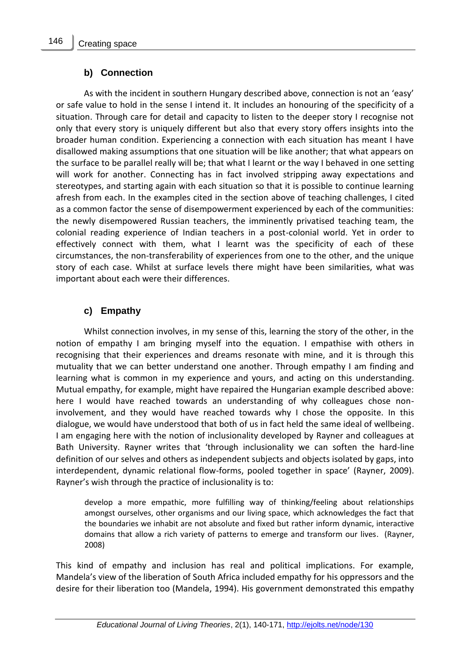#### **b) Connection**

As with the incident in southern Hungary described above, connection is not an 'easy' or safe value to hold in the sense I intend it. It includes an honouring of the specificity of a situation. Through care for detail and capacity to listen to the deeper story I recognise not only that every story is uniquely different but also that every story offers insights into the broader human condition. Experiencing a connection with each situation has meant I have disallowed making assumptions that one situation will be like another; that what appears on the surface to be parallel really will be; that what I learnt or the way I behaved in one setting will work for another. Connecting has in fact involved stripping away expectations and stereotypes, and starting again with each situation so that it is possible to continue learning afresh from each. In the examples cited in the section above of teaching challenges, I cited as a common factor the sense of disempowerment experienced by each of the communities: the newly disempowered Russian teachers, the imminently privatised teaching team, the colonial reading experience of Indian teachers in a post-colonial world. Yet in order to effectively connect with them, what I learnt was the specificity of each of these circumstances, the non-transferability of experiences from one to the other, and the unique story of each case. Whilst at surface levels there might have been similarities, what was important about each were their differences.

### **c) Empathy**

Whilst connection involves, in my sense of this, learning the story of the other, in the notion of empathy I am bringing myself into the equation. I empathise with others in recognising that their experiences and dreams resonate with mine, and it is through this mutuality that we can better understand one another. Through empathy I am finding and learning what is common in my experience and yours, and acting on this understanding. Mutual empathy, for example, might have repaired the Hungarian example described above: here I would have reached towards an understanding of why colleagues chose noninvolvement, and they would have reached towards why I chose the opposite. In this dialogue, we would have understood that both of us in fact held the same ideal of wellbeing. I am engaging here with the notion of inclusionality developed by Rayner and colleagues at Bath University. Rayner writes that 'through inclusionality we can soften the hard-line definition of our selves and others as independent subjects and objects isolated by gaps, into interdependent, dynamic relational flow-forms, pooled together in space' (Rayner, 2009). Rayner's wish through the practice of inclusionality is to:

develop a more empathic, more fulfilling way of thinking/feeling about relationships amongst ourselves, other organisms and our living space, which acknowledges the fact that the boundaries we inhabit are not absolute and fixed but rather inform dynamic, interactive domains that allow a rich variety of patterns to emerge and transform our lives. (Rayner, 2008)

This kind of empathy and inclusion has real and political implications. For example, Mandela's view of the liberation of South Africa included empathy for his oppressors and the desire for their liberation too (Mandela, 1994). His government demonstrated this empathy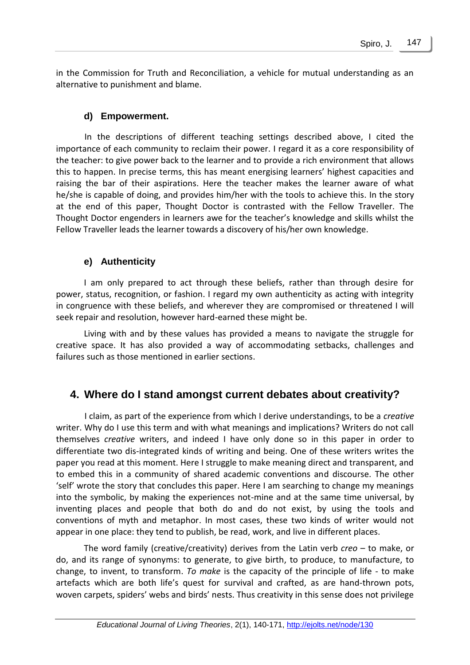in the Commission for Truth and Reconciliation, a vehicle for mutual understanding as an alternative to punishment and blame.

#### **d) Empowerment.**

In the descriptions of different teaching settings described above, I cited the importance of each community to reclaim their power. I regard it as a core responsibility of the teacher: to give power back to the learner and to provide a rich environment that allows this to happen. In precise terms, this has meant energising learners' highest capacities and raising the bar of their aspirations. Here the teacher makes the learner aware of what he/she is capable of doing, and provides him/her with the tools to achieve this. In the story at the end of this paper, Thought Doctor is contrasted with the Fellow Traveller. The Thought Doctor engenders in learners awe for the teacher's knowledge and skills whilst the Fellow Traveller leads the learner towards a discovery of his/her own knowledge.

#### **e) Authenticity**

I am only prepared to act through these beliefs, rather than through desire for power, status, recognition, or fashion. I regard my own authenticity as acting with integrity in congruence with these beliefs, and wherever they are compromised or threatened I will seek repair and resolution, however hard-earned these might be.

Living with and by these values has provided a means to navigate the struggle for creative space. It has also provided a way of accommodating setbacks, challenges and failures such as those mentioned in earlier sections.

## **4. Where do I stand amongst current debates about creativity?**

I claim, as part of the experience from which I derive understandings, to be a *creative*  writer. Why do I use this term and with what meanings and implications? Writers do not call themselves *creative* writers, and indeed I have only done so in this paper in order to differentiate two dis-integrated kinds of writing and being. One of these writers writes the paper you read at this moment. Here I struggle to make meaning direct and transparent, and to embed this in a community of shared academic conventions and discourse. The other 'self' wrote the story that concludes this paper. Here I am searching to change my meanings into the symbolic, by making the experiences not-mine and at the same time universal, by inventing places and people that both do and do not exist, by using the tools and conventions of myth and metaphor. In most cases, these two kinds of writer would not appear in one place: they tend to publish, be read, work, and live in different places.

The word family (creative/creativity) derives from the Latin verb *creo* – to make, or do, and its range of synonyms: to generate, to give birth, to produce, to manufacture, to change, to invent, to transform. *To make* is the capacity of the principle of life - to make artefacts which are both life's quest for survival and crafted, as are hand-thrown pots, woven carpets, spiders' webs and birds' nests. Thus creativity in this sense does not privilege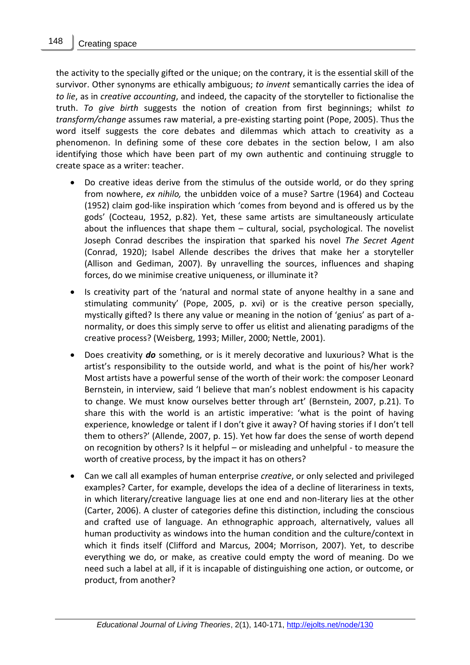the activity to the specially gifted or the unique; on the contrary, it is the essential skill of the survivor. Other synonyms are ethically ambiguous; *to invent* semantically carries the idea of *to lie*, as in *creative accounting*, and indeed, the capacity of the storyteller to fictionalise the truth. *To give birth* suggests the notion of creation from first beginnings; whilst *to transform/change* assumes raw material, a pre-existing starting point (Pope, 2005). Thus the word itself suggests the core debates and dilemmas which attach to creativity as a phenomenon. In defining some of these core debates in the section below, I am also identifying those which have been part of my own authentic and continuing struggle to create space as a writer: teacher.

- Do creative ideas derive from the stimulus of the outside world, or do they spring from nowhere, *ex nihilo,* the unbidden voice of a muse? Sartre (1964) and Cocteau (1952) claim god-like inspiration which 'comes from beyond and is offered us by the gods' (Cocteau, 1952, p.82). Yet, these same artists are simultaneously articulate about the influences that shape them – cultural, social, psychological. The novelist Joseph Conrad describes the inspiration that sparked his novel *The Secret Agent* (Conrad, 1920); Isabel Allende describes the drives that make her a storyteller (Allison and Gediman, 2007). By unravelling the sources, influences and shaping forces, do we minimise creative uniqueness, or illuminate it?
- Is creativity part of the 'natural and normal state of anyone healthy in a sane and stimulating community' (Pope, 2005, p. xvi) or is the creative person specially, mystically gifted? Is there any value or meaning in the notion of 'genius' as part of anormality, or does this simply serve to offer us elitist and alienating paradigms of the creative process? (Weisberg, 1993; Miller, 2000; Nettle, 2001).
- Does creativity *do* something, or is it merely decorative and luxurious? What is the artist's responsibility to the outside world, and what is the point of his/her work? Most artists have a powerful sense of the worth of their work: the composer Leonard Bernstein, in interview, said 'I believe that man's noblest endowment is his capacity to change. We must know ourselves better through art' (Bernstein, 2007, p.21). To share this with the world is an artistic imperative: 'what is the point of having experience, knowledge or talent if I don't give it away? Of having stories if I don't tell them to others?' (Allende, 2007, p. 15). Yet how far does the sense of worth depend on recognition by others? Is it helpful – or misleading and unhelpful - to measure the worth of creative process, by the impact it has on others?
- Can we call all examples of human enterprise *creative*, or only selected and privileged examples? Carter, for example, develops the idea of a decline of literariness in texts, in which literary/creative language lies at one end and non-literary lies at the other (Carter, 2006). A cluster of categories define this distinction, including the conscious and crafted use of language. An ethnographic approach, alternatively, values all human productivity as windows into the human condition and the culture/context in which it finds itself (Clifford and Marcus, 2004; Morrison, 2007). Yet, to describe everything we do, or make, as creative could empty the word of meaning. Do we need such a label at all, if it is incapable of distinguishing one action, or outcome, or product, from another?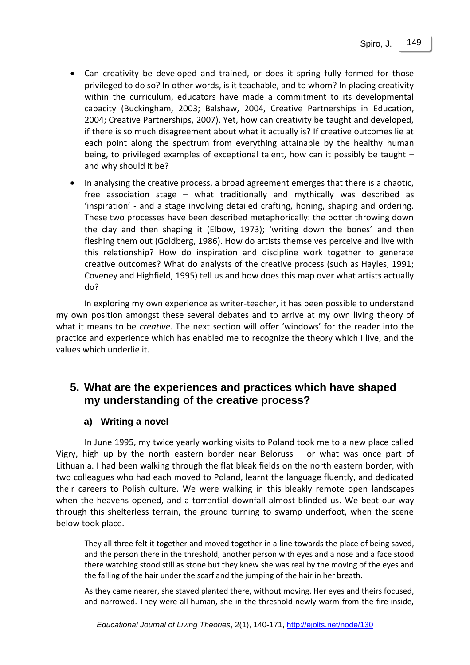- Can creativity be developed and trained, or does it spring fully formed for those privileged to do so? In other words, is it teachable, and to whom? In placing creativity within the curriculum, educators have made a commitment to its developmental capacity (Buckingham, 2003; Balshaw, 2004, Creative Partnerships in Education, 2004; Creative Partnerships, 2007). Yet, how can creativity be taught and developed, if there is so much disagreement about what it actually is? If creative outcomes lie at each point along the spectrum from everything attainable by the healthy human being, to privileged examples of exceptional talent, how can it possibly be taught – and why should it be?
- In analysing the creative process, a broad agreement emerges that there is a chaotic, free association stage – what traditionally and mythically was described as 'inspiration' - and a stage involving detailed crafting, honing, shaping and ordering. These two processes have been described metaphorically: the potter throwing down the clay and then shaping it (Elbow, 1973); 'writing down the bones' and then fleshing them out (Goldberg, 1986). How do artists themselves perceive and live with this relationship? How do inspiration and discipline work together to generate creative outcomes? What do analysts of the creative process (such as Hayles, 1991; Coveney and Highfield, 1995) tell us and how does this map over what artists actually do?

In exploring my own experience as writer-teacher, it has been possible to understand my own position amongst these several debates and to arrive at my own living theory of what it means to be *creative*. The next section will offer 'windows' for the reader into the practice and experience which has enabled me to recognize the theory which I live, and the values which underlie it.

## **5. What are the experiences and practices which have shaped my understanding of the creative process?**

#### **a) Writing a novel**

In June 1995, my twice yearly working visits to Poland took me to a new place called Vigry, high up by the north eastern border near Beloruss – or what was once part of Lithuania. I had been walking through the flat bleak fields on the north eastern border, with two colleagues who had each moved to Poland, learnt the language fluently, and dedicated their careers to Polish culture. We were walking in this bleakly remote open landscapes when the heavens opened, and a torrential downfall almost blinded us. We beat our way through this shelterless terrain, the ground turning to swamp underfoot, when the scene below took place.

They all three felt it together and moved together in a line towards the place of being saved, and the person there in the threshold, another person with eyes and a nose and a face stood there watching stood still as stone but they knew she was real by the moving of the eyes and the falling of the hair under the scarf and the jumping of the hair in her breath.

As they came nearer, she stayed planted there, without moving. Her eyes and theirs focused, and narrowed. They were all human, she in the threshold newly warm from the fire inside,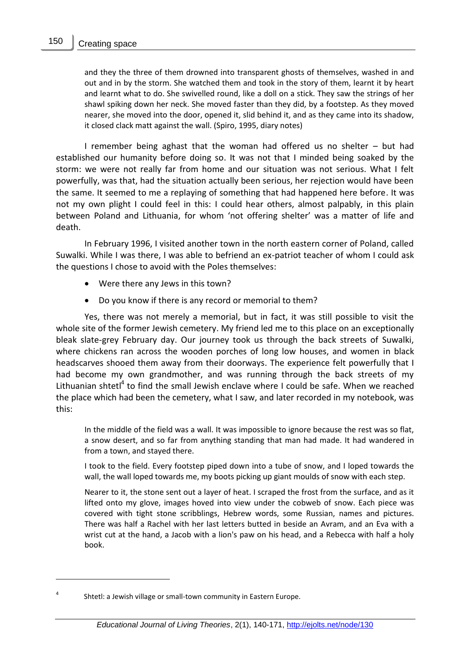and they the three of them drowned into transparent ghosts of themselves, washed in and out and in by the storm. She watched them and took in the story of them, learnt it by heart and learnt what to do. She swivelled round, like a doll on a stick. They saw the strings of her shawl spiking down her neck. She moved faster than they did, by a footstep. As they moved nearer, she moved into the door, opened it, slid behind it, and as they came into its shadow, it closed clack matt against the wall. (Spiro, 1995, diary notes)

I remember being aghast that the woman had offered us no shelter – but had established our humanity before doing so. It was not that I minded being soaked by the storm: we were not really far from home and our situation was not serious. What I felt powerfully, was that, had the situation actually been serious, her rejection would have been the same. It seemed to me a replaying of something that had happened here before. It was not my own plight I could feel in this: I could hear others, almost palpably, in this plain between Poland and Lithuania, for whom 'not offering shelter' was a matter of life and death.

In February 1996, I visited another town in the north eastern corner of Poland, called Suwalki. While I was there, I was able to befriend an ex-patriot teacher of whom I could ask the questions I chose to avoid with the Poles themselves:

- Were there any Jews in this town?
- Do you know if there is any record or memorial to them?

Yes, there was not merely a memorial, but in fact, it was still possible to visit the whole site of the former Jewish cemetery. My friend led me to this place on an exceptionally bleak slate-grey February day. Our journey took us through the back streets of Suwalki, where chickens ran across the wooden porches of long low houses, and women in black headscarves shooed them away from their doorways. The experience felt powerfully that I had become my own grandmother, and was running through the back streets of my Lithuanian shtetl<sup>4</sup> to find the small Jewish enclave where I could be safe. When we reached the place which had been the cemetery, what I saw, and later recorded in my notebook, was this:

In the middle of the field was a wall. It was impossible to ignore because the rest was so flat, a snow desert, and so far from anything standing that man had made. It had wandered in from a town, and stayed there.

I took to the field. Every footstep piped down into a tube of snow, and I loped towards the wall, the wall loped towards me, my boots picking up giant moulds of snow with each step.

Nearer to it, the stone sent out a layer of heat. I scraped the frost from the surface, and as it lifted onto my glove, images hoved into view under the cobweb of snow. Each piece was covered with tight stone scribblings, Hebrew words, some Russian, names and pictures. There was half a Rachel with her last letters butted in beside an Avram, and an Eva with a wrist cut at the hand, a Jacob with a lion's paw on his head, and a Rebecca with half a holy book.

Shtetl: a Jewish village or small-town community in Eastern Europe.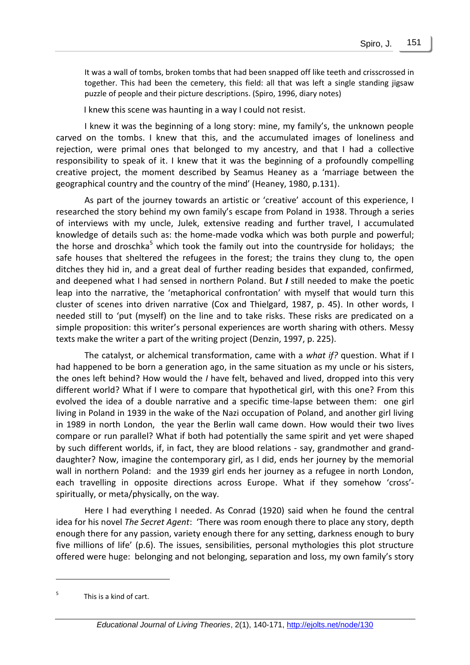It was a wall of tombs, broken tombs that had been snapped off like teeth and crisscrossed in together. This had been the cemetery, this field: all that was left a single standing jigsaw puzzle of people and their picture descriptions. (Spiro, 1996, diary notes)

I knew this scene was haunting in a way I could not resist.

I knew it was the beginning of a long story: mine, my family's, the unknown people carved on the tombs. I knew that this, and the accumulated images of loneliness and rejection, were primal ones that belonged to my ancestry, and that I had a collective responsibility to speak of it. I knew that it was the beginning of a profoundly compelling creative project, the moment described by Seamus Heaney as a 'marriage between the geographical country and the country of the mind' (Heaney, 1980, p.131).

As part of the journey towards an artistic or 'creative' account of this experience, I researched the story behind my own family's escape from Poland in 1938. Through a series of interviews with my uncle, Julek, extensive reading and further travel, I accumulated knowledge of details such as: the home-made vodka which was both purple and powerful; the horse and droschka<sup>5</sup> which took the family out into the countryside for holidays; the safe houses that sheltered the refugees in the forest; the trains they clung to, the open ditches they hid in, and a great deal of further reading besides that expanded, confirmed, and deepened what I had sensed in northern Poland. But *I* still needed to make the poetic leap into the narrative, the 'metaphorical confrontation' with myself that would turn this cluster of scenes into driven narrative (Cox and Thielgard, 1987, p. 45). In other words, I needed still to 'put (myself) on the line and to take risks. These risks are predicated on a simple proposition: this writer's personal experiences are worth sharing with others. Messy texts make the writer a part of the writing project (Denzin, 1997, p. 225).

The catalyst, or alchemical transformation, came with a *what if?* question. What if I had happened to be born a generation ago, in the same situation as my uncle or his sisters, the ones left behind? How would the *I* have felt, behaved and lived, dropped into this very different world? What if I were to compare that hypothetical girl, with this one? From this evolved the idea of a double narrative and a specific time-lapse between them: one girl living in Poland in 1939 in the wake of the Nazi occupation of Poland, and another girl living in 1989 in north London, the year the Berlin wall came down. How would their two lives compare or run parallel? What if both had potentially the same spirit and yet were shaped by such different worlds, if, in fact, they are blood relations - say, grandmother and granddaughter? Now, imagine the contemporary girl, as I did, ends her journey by the memorial wall in northern Poland: and the 1939 girl ends her journey as a refugee in north London, each travelling in opposite directions across Europe. What if they somehow 'cross' spiritually, or meta/physically, on the way.

Here I had everything I needed. As Conrad (1920) said when he found the central idea for his novel *The Secret Agent*: 'There was room enough there to place any story, depth enough there for any passion, variety enough there for any setting, darkness enough to bury five millions of life' (p.6). The issues, sensibilities, personal mythologies this plot structure offered were huge: belonging and not belonging, separation and loss, my own family's story

<sup>5</sup> This is a kind of cart.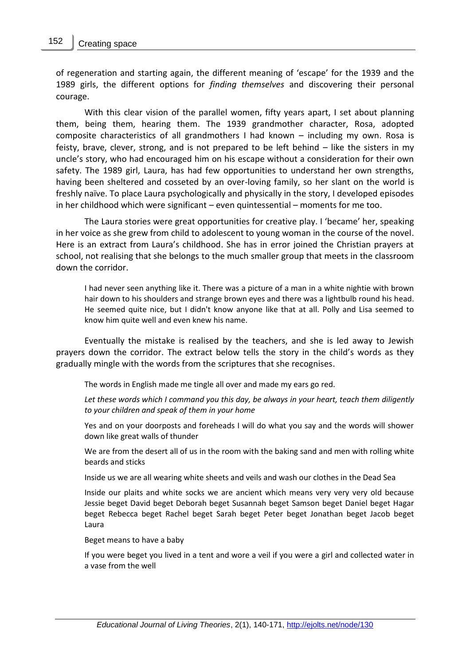of regeneration and starting again, the different meaning of 'escape' for the 1939 and the 1989 girls, the different options for *finding themselves* and discovering their personal courage.

With this clear vision of the parallel women, fifty years apart, I set about planning them, being them, hearing them. The 1939 grandmother character, Rosa, adopted composite characteristics of all grandmothers I had known – including my own. Rosa is feisty, brave, clever, strong, and is not prepared to be left behind – like the sisters in my uncle's story, who had encouraged him on his escape without a consideration for their own safety. The 1989 girl, Laura, has had few opportunities to understand her own strengths, having been sheltered and cosseted by an over-loving family, so her slant on the world is freshly naïve. To place Laura psychologically and physically in the story, I developed episodes in her childhood which were significant – even quintessential – moments for me too.

The Laura stories were great opportunities for creative play. I 'became' her, speaking in her voice as she grew from child to adolescent to young woman in the course of the novel. Here is an extract from Laura's childhood. She has in error joined the Christian prayers at school, not realising that she belongs to the much smaller group that meets in the classroom down the corridor.

I had never seen anything like it. There was a picture of a man in a white nightie with brown hair down to his shoulders and strange brown eyes and there was a lightbulb round his head. He seemed quite nice, but I didn't know anyone like that at all. Polly and Lisa seemed to know him quite well and even knew his name.

Eventually the mistake is realised by the teachers, and she is led away to Jewish prayers down the corridor. The extract below tells the story in the child's words as they gradually mingle with the words from the scriptures that she recognises.

The words in English made me tingle all over and made my ears go red.

*Let these words which I command you this day, be always in your heart, teach them diligently to your children and speak of them in your home*

Yes and on your doorposts and foreheads I will do what you say and the words will shower down like great walls of thunder

We are from the desert all of us in the room with the baking sand and men with rolling white beards and sticks

Inside us we are all wearing white sheets and veils and wash our clothes in the Dead Sea

Inside our plaits and white socks we are ancient which means very very very old because Jessie beget David beget Deborah beget Susannah beget Samson beget Daniel beget Hagar beget Rebecca beget Rachel beget Sarah beget Peter beget Jonathan beget Jacob beget Laura

Beget means to have a baby

If you were beget you lived in a tent and wore a veil if you were a girl and collected water in a vase from the well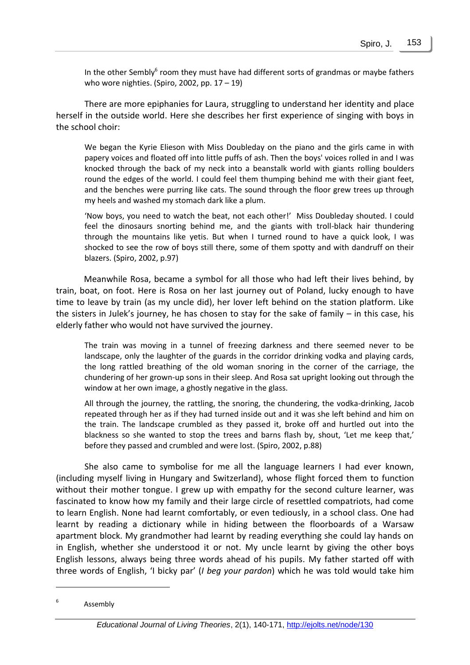In the other Sembly $^6$  room they must have had different sorts of grandmas or maybe fathers who wore nighties. (Spiro, 2002, pp. 17 – 19)

There are more epiphanies for Laura, struggling to understand her identity and place herself in the outside world. Here she describes her first experience of singing with boys in the school choir:

We began the Kyrie Elieson with Miss Doubleday on the piano and the girls came in with papery voices and floated off into little puffs of ash. Then the boys' voices rolled in and I was knocked through the back of my neck into a beanstalk world with giants rolling boulders round the edges of the world. I could feel them thumping behind me with their giant feet, and the benches were purring like cats. The sound through the floor grew trees up through my heels and washed my stomach dark like a plum.

'Now boys, you need to watch the beat, not each other!' Miss Doubleday shouted. I could feel the dinosaurs snorting behind me, and the giants with troll-black hair thundering through the mountains like yetis. But when I turned round to have a quick look, I was shocked to see the row of boys still there, some of them spotty and with dandruff on their blazers. (Spiro, 2002, p.97)

Meanwhile Rosa, became a symbol for all those who had left their lives behind, by train, boat, on foot. Here is Rosa on her last journey out of Poland, lucky enough to have time to leave by train (as my uncle did), her lover left behind on the station platform. Like the sisters in Julek's journey, he has chosen to stay for the sake of family  $-$  in this case, his elderly father who would not have survived the journey.

The train was moving in a tunnel of freezing darkness and there seemed never to be landscape, only the laughter of the guards in the corridor drinking vodka and playing cards, the long rattled breathing of the old woman snoring in the corner of the carriage, the chundering of her grown-up sons in their sleep. And Rosa sat upright looking out through the window at her own image, a ghostly negative in the glass.

All through the journey, the rattling, the snoring, the chundering, the vodka-drinking, Jacob repeated through her as if they had turned inside out and it was she left behind and him on the train. The landscape crumbled as they passed it, broke off and hurtled out into the blackness so she wanted to stop the trees and barns flash by, shout, 'Let me keep that,' before they passed and crumbled and were lost. (Spiro, 2002, p.88)

She also came to symbolise for me all the language learners I had ever known, (including myself living in Hungary and Switzerland), whose flight forced them to function without their mother tongue. I grew up with empathy for the second culture learner, was fascinated to know how my family and their large circle of resettled compatriots, had come to learn English. None had learnt comfortably, or even tediously, in a school class. One had learnt by reading a dictionary while in hiding between the floorboards of a Warsaw apartment block. My grandmother had learnt by reading everything she could lay hands on in English, whether she understood it or not. My uncle learnt by giving the other boys English lessons, always being three words ahead of his pupils. My father started off with three words of English, 'I bicky par' (*I beg your pardon*) which he was told would take him

<sup>6</sup> Assembly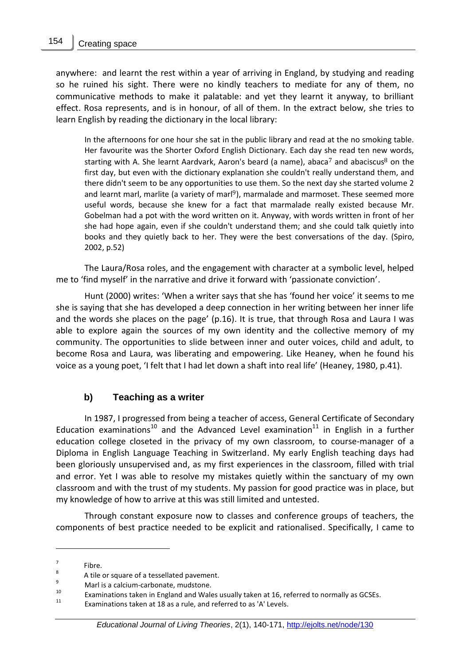anywhere: and learnt the rest within a year of arriving in England, by studying and reading so he ruined his sight. There were no kindly teachers to mediate for any of them, no communicative methods to make it palatable: and yet they learnt it anyway, to brilliant effect. Rosa represents, and is in honour, of all of them. In the extract below, she tries to learn English by reading the dictionary in the local library:

In the afternoons for one hour she sat in the public library and read at the no smoking table. Her favourite was the Shorter Oxford English Dictionary. Each day she read ten new words, starting with A. She learnt Aardvark, Aaron's beard (a name), abaca<sup>7</sup> and abaciscus<sup>8</sup> on the first day, but even with the dictionary explanation she couldn't really understand them, and there didn't seem to be any opportunities to use them. So the next day she started volume 2 and learnt marl, marlite (a variety of marl<sup>9</sup>), marmalade and marmoset. These seemed more useful words, because she knew for a fact that marmalade really existed because Mr. Gobelman had a pot with the word written on it. Anyway, with words written in front of her she had hope again, even if she couldn't understand them; and she could talk quietly into books and they quietly back to her. They were the best conversations of the day. (Spiro, 2002, p.52)

The Laura/Rosa roles, and the engagement with character at a symbolic level, helped me to 'find myself' in the narrative and drive it forward with 'passionate conviction'.

Hunt (2000) writes: 'When a writer says that she has 'found her voice' it seems to me she is saying that she has developed a deep connection in her writing between her inner life and the words she places on the page' (p.16). It is true, that through Rosa and Laura I was able to explore again the sources of my own identity and the collective memory of my community. The opportunities to slide between inner and outer voices, child and adult, to become Rosa and Laura, was liberating and empowering. Like Heaney, when he found his voice as a young poet, 'I felt that I had let down a shaft into real life' (Heaney, 1980, p.41).

#### **b) Teaching as a writer**

In 1987, I progressed from being a teacher of access, General Certificate of Secondary Education examinations<sup>10</sup> and the Advanced Level examination<sup>11</sup> in English in a further education college closeted in the privacy of my own classroom, to course-manager of a Diploma in English Language Teaching in Switzerland. My early English teaching days had been gloriously unsupervised and, as my first experiences in the classroom, filled with trial and error. Yet I was able to resolve my mistakes quietly within the sanctuary of my own classroom and with the trust of my students. My passion for good practice was in place, but my knowledge of how to arrive at this was still limited and untested.

Through constant exposure now to classes and conference groups of teachers, the components of best practice needed to be explicit and rationalised. Specifically, I came to

<sup>7</sup> Fibre.

<sup>8</sup> A tile or square of a tessellated pavement.

 $^{9}$  Marl is a calcium-carbonate, mudstone.

<sup>&</sup>lt;sup>10</sup> Examinations taken in England and Wales usually taken at 16, referred to normally as GCSEs.<br><sup>11</sup> Examinations taken at 19 as a mile and referred to as [All surface].

Examinations taken at 18 as a rule, and referred to as 'A' Levels.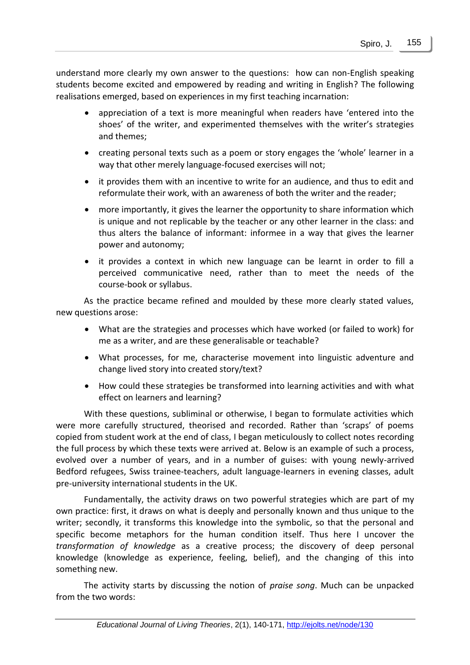understand more clearly my own answer to the questions: how can non-English speaking students become excited and empowered by reading and writing in English? The following realisations emerged, based on experiences in my first teaching incarnation:

- appreciation of a text is more meaningful when readers have 'entered into the shoes' of the writer, and experimented themselves with the writer's strategies and themes;
- creating personal texts such as a poem or story engages the 'whole' learner in a way that other merely language-focused exercises will not;
- it provides them with an incentive to write for an audience, and thus to edit and reformulate their work, with an awareness of both the writer and the reader;
- more importantly, it gives the learner the opportunity to share information which is unique and not replicable by the teacher or any other learner in the class: and thus alters the balance of informant: informee in a way that gives the learner power and autonomy;
- it provides a context in which new language can be learnt in order to fill a perceived communicative need, rather than to meet the needs of the course-book or syllabus.

As the practice became refined and moulded by these more clearly stated values, new questions arose:

- What are the strategies and processes which have worked (or failed to work) for me as a writer, and are these generalisable or teachable?
- What processes, for me, characterise movement into linguistic adventure and change lived story into created story/text?
- How could these strategies be transformed into learning activities and with what effect on learners and learning?

With these questions, subliminal or otherwise, I began to formulate activities which were more carefully structured, theorised and recorded. Rather than 'scraps' of poems copied from student work at the end of class, I began meticulously to collect notes recording the full process by which these texts were arrived at. Below is an example of such a process, evolved over a number of years, and in a number of guises: with young newly-arrived Bedford refugees, Swiss trainee-teachers, adult language-learners in evening classes, adult pre-university international students in the UK.

Fundamentally, the activity draws on two powerful strategies which are part of my own practice: first, it draws on what is deeply and personally known and thus unique to the writer; secondly, it transforms this knowledge into the symbolic, so that the personal and specific become metaphors for the human condition itself. Thus here I uncover the *transformation of knowledge* as a creative process; the discovery of deep personal knowledge (knowledge as experience, feeling, belief), and the changing of this into something new.

The activity starts by discussing the notion of *praise song*. Much can be unpacked from the two words: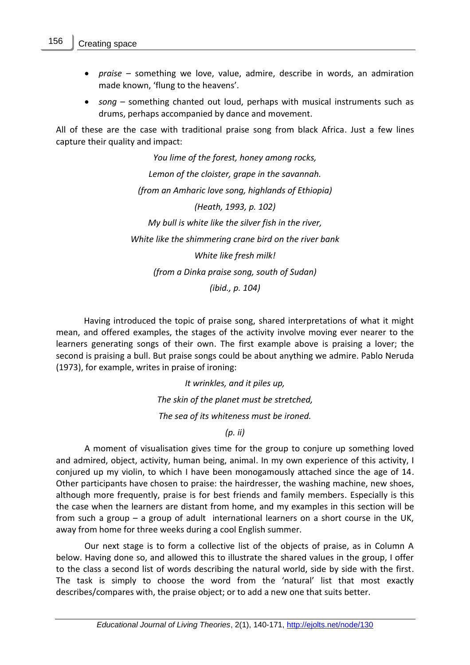- *praise* something we love, value, admire, describe in words, an admiration made known, 'flung to the heavens'.
- *song* something chanted out loud, perhaps with musical instruments such as drums, perhaps accompanied by dance and movement.

All of these are the case with traditional praise song from black Africa. Just a few lines capture their quality and impact:

> *You lime of the forest, honey among rocks, Lemon of the cloister, grape in the savannah. (from an Amharic love song, highlands of Ethiopia) (Heath, 1993, p. 102) My bull is white like the silver fish in the river, White like the shimmering crane bird on the river bank White like fresh milk! (from a Dinka praise song, south of Sudan) (ibid., p. 104)*

Having introduced the topic of praise song, shared interpretations of what it might mean, and offered examples, the stages of the activity involve moving ever nearer to the learners generating songs of their own. The first example above is praising a lover; the second is praising a bull. But praise songs could be about anything we admire. Pablo Neruda (1973), for example, writes in praise of ironing:

> *It wrinkles, and it piles up, The skin of the planet must be stretched, The sea of its whiteness must be ironed. (p. ii)*

A moment of visualisation gives time for the group to conjure up something loved and admired, object, activity, human being, animal. In my own experience of this activity, I conjured up my violin, to which I have been monogamously attached since the age of 14. Other participants have chosen to praise: the hairdresser, the washing machine, new shoes, although more frequently, praise is for best friends and family members. Especially is this the case when the learners are distant from home, and my examples in this section will be from such a group – a group of adult international learners on a short course in the UK, away from home for three weeks during a cool English summer.

Our next stage is to form a collective list of the objects of praise, as in Column A below. Having done so, and allowed this to illustrate the shared values in the group, I offer to the class a second list of words describing the natural world, side by side with the first. The task is simply to choose the word from the 'natural' list that most exactly describes/compares with, the praise object; or to add a new one that suits better.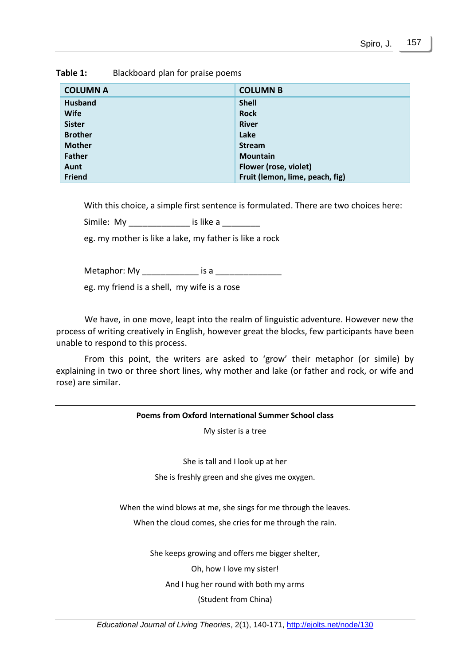| <b>COLUMN A</b> | <b>COLUMN B</b>                 |
|-----------------|---------------------------------|
| <b>Husband</b>  | <b>Shell</b>                    |
| <b>Wife</b>     | <b>Rock</b>                     |
| <b>Sister</b>   | <b>River</b>                    |
| <b>Brother</b>  | Lake                            |
| <b>Mother</b>   | <b>Stream</b>                   |
| Father          | <b>Mountain</b>                 |
| Aunt            | Flower (rose, violet)           |
| Friend          | Fruit (lemon, lime, peach, fig) |

**Table 1:** Blackboard plan for praise poems

With this choice, a simple first sentence is formulated. There are two choices here:

Simile: My dis like a

eg. my mother is like a lake, my father is like a rock

Metaphor: My \_\_\_\_\_\_\_\_\_\_\_\_ is a \_\_\_\_\_\_\_\_\_\_\_\_\_\_

eg. my friend is a shell, my wife is a rose

We have, in one move, leapt into the realm of linguistic adventure. However new the process of writing creatively in English, however great the blocks, few participants have been unable to respond to this process.

From this point, the writers are asked to 'grow' their metaphor (or simile) by explaining in two or three short lines, why mother and lake (or father and rock, or wife and rose) are similar.

# **Poems from Oxford International Summer School class** My sister is a tree She is tall and I look up at her She is freshly green and she gives me oxygen. When the wind blows at me, she sings for me through the leaves. When the cloud comes, she cries for me through the rain. She keeps growing and offers me bigger shelter, Oh, how I love my sister! And I hug her round with both my arms (Student from China)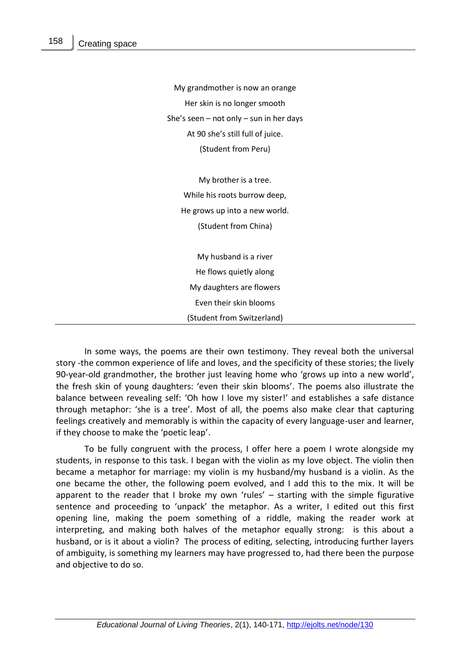My grandmother is now an orange Her skin is no longer smooth She's seen – not only – sun in her days At 90 she's still full of juice. (Student from Peru)

My brother is a tree. While his roots burrow deep, He grows up into a new world. (Student from China)

My husband is a river He flows quietly along My daughters are flowers Even their skin blooms (Student from Switzerland)

In some ways, the poems are their own testimony. They reveal both the universal story -the common experience of life and loves, and the specificity of these stories; the lively 90-year-old grandmother, the brother just leaving home who 'grows up into a new world', the fresh skin of young daughters: 'even their skin blooms'. The poems also illustrate the balance between revealing self: 'Oh how I love my sister!' and establishes a safe distance through metaphor: 'she is a tree'. Most of all, the poems also make clear that capturing feelings creatively and memorably is within the capacity of every language-user and learner, if they choose to make the 'poetic leap'.

To be fully congruent with the process, I offer here a poem I wrote alongside my students, in response to this task. I began with the violin as my love object. The violin then became a metaphor for marriage: my violin is my husband/my husband is a violin. As the one became the other, the following poem evolved, and I add this to the mix. It will be apparent to the reader that I broke my own 'rules' – starting with the simple figurative sentence and proceeding to 'unpack' the metaphor. As a writer, I edited out this first opening line, making the poem something of a riddle, making the reader work at interpreting, and making both halves of the metaphor equally strong: is this about a husband, or is it about a violin? The process of editing, selecting, introducing further layers of ambiguity, is something my learners may have progressed to, had there been the purpose and objective to do so.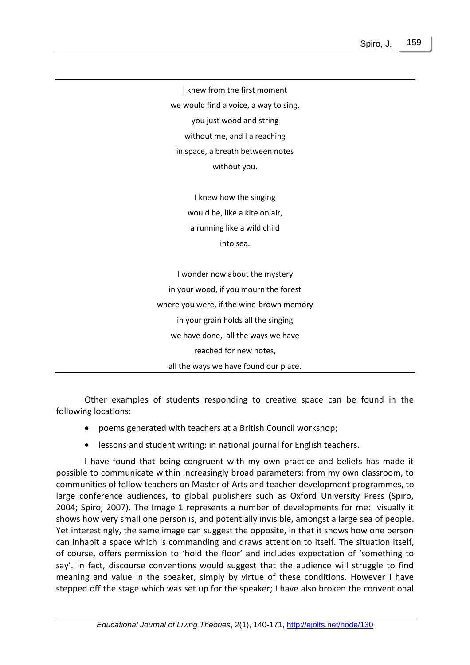I knew from the first moment we would find a voice, a way to sing, you just wood and string without me, and I a reaching in space, a breath between notes without you.

> I knew how the singing would be, like a kite on air, a running like a wild child into sea.

I wonder now about the mystery in your wood, if you mourn the forest where you were, if the wine-brown memory in your grain holds all the singing we have done, all the ways we have reached for new notes, all the ways we have found our place.

Other examples of students responding to creative space can be found in the following locations:

- poems generated with teachers at a British Council workshop;
- lessons and student writing: in national journal for English teachers.

I have found that being congruent with my own practice and beliefs has made it possible to communicate within increasingly broad parameters: from my own classroom, to communities of fellow teachers on Master of Arts and teacher-development programmes, to large conference audiences, to global publishers such as Oxford University Press (Spiro, 2004; Spiro, 2007). The Image 1 represents a number of developments for me: visually it shows how very small one person is, and potentially invisible, amongst a large sea of people. Yet interestingly, the same image can suggest the opposite, in that it shows how one person can inhabit a space which is commanding and draws attention to itself. The situation itself, of course, offers permission to 'hold the floor' and includes expectation of 'something to say'. In fact, discourse conventions would suggest that the audience will struggle to find meaning and value in the speaker, simply by virtue of these conditions. However I have stepped off the stage which was set up for the speaker; I have also broken the conventional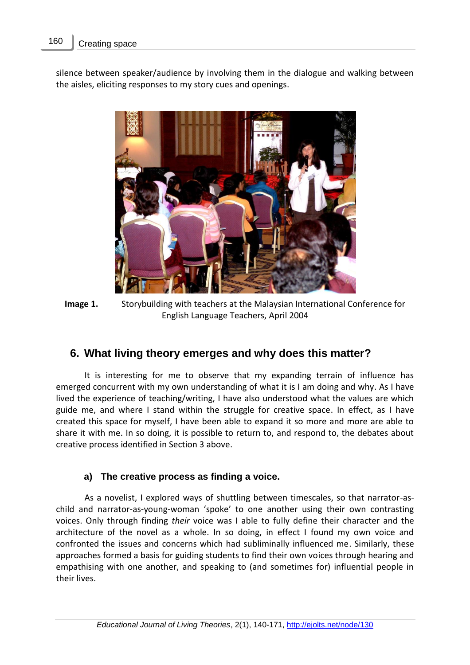silence between speaker/audience by involving them in the dialogue and walking between the aisles, eliciting responses to my story cues and openings.



**Image 1.** Storybuilding with teachers at the Malaysian International Conference for English Language Teachers, April 2004

## **6. What living theory emerges and why does this matter?**

It is interesting for me to observe that my expanding terrain of influence has emerged concurrent with my own understanding of what it is I am doing and why. As I have lived the experience of teaching/writing, I have also understood what the values are which guide me, and where I stand within the struggle for creative space. In effect, as I have created this space for myself, I have been able to expand it so more and more are able to share it with me. In so doing, it is possible to return to, and respond to, the debates about creative process identified in Section 3 above.

#### **a) The creative process as finding a voice.**

As a novelist, I explored ways of shuttling between timescales, so that narrator-aschild and narrator-as-young-woman 'spoke' to one another using their own contrasting voices. Only through finding *their* voice was I able to fully define their character and the architecture of the novel as a whole. In so doing, in effect I found my own voice and confronted the issues and concerns which had subliminally influenced me. Similarly, these approaches formed a basis for guiding students to find their own voices through hearing and empathising with one another, and speaking to (and sometimes for) influential people in their lives.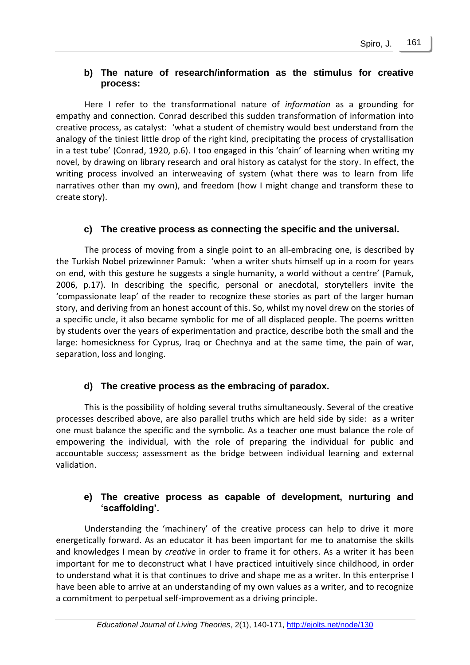#### **b) The nature of research/information as the stimulus for creative process:**

Here I refer to the transformational nature of *information* as a grounding for empathy and connection. Conrad described this sudden transformation of information into creative process, as catalyst: 'what a student of chemistry would best understand from the analogy of the tiniest little drop of the right kind, precipitating the process of crystallisation in a test tube' (Conrad, 1920, p.6). I too engaged in this 'chain' of learning when writing my novel, by drawing on library research and oral history as catalyst for the story. In effect, the writing process involved an interweaving of system (what there was to learn from life narratives other than my own), and freedom (how I might change and transform these to create story).

#### **c) The creative process as connecting the specific and the universal.**

The process of moving from a single point to an all-embracing one, is described by the Turkish Nobel prizewinner Pamuk: 'when a writer shuts himself up in a room for years on end, with this gesture he suggests a single humanity, a world without a centre' (Pamuk, 2006, p.17). In describing the specific, personal or anecdotal, storytellers invite the 'compassionate leap' of the reader to recognize these stories as part of the larger human story, and deriving from an honest account of this. So, whilst my novel drew on the stories of a specific uncle, it also became symbolic for me of all displaced people. The poems written by students over the years of experimentation and practice, describe both the small and the large: homesickness for Cyprus, Iraq or Chechnya and at the same time, the pain of war, separation, loss and longing.

#### **d) The creative process as the embracing of paradox.**

This is the possibility of holding several truths simultaneously. Several of the creative processes described above, are also parallel truths which are held side by side: as a writer one must balance the specific and the symbolic. As a teacher one must balance the role of empowering the individual, with the role of preparing the individual for public and accountable success; assessment as the bridge between individual learning and external validation.

#### **e) The creative process as capable of development, nurturing and 'scaffolding'.**

Understanding the 'machinery' of the creative process can help to drive it more energetically forward. As an educator it has been important for me to anatomise the skills and knowledges I mean by *creative* in order to frame it for others. As a writer it has been important for me to deconstruct what I have practiced intuitively since childhood, in order to understand what it is that continues to drive and shape me as a writer. In this enterprise I have been able to arrive at an understanding of my own values as a writer, and to recognize a commitment to perpetual self-improvement as a driving principle.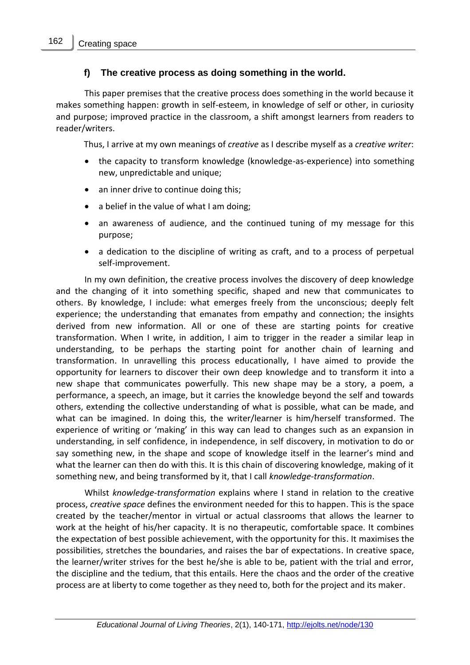#### **f) The creative process as doing something in the world.**

This paper premises that the creative process does something in the world because it makes something happen: growth in self-esteem, in knowledge of self or other, in curiosity and purpose; improved practice in the classroom, a shift amongst learners from readers to reader/writers.

Thus, I arrive at my own meanings of *creative* as I describe myself as a *creative writer*:

- the capacity to transform knowledge (knowledge-as-experience) into something new, unpredictable and unique;
- an inner drive to continue doing this;
- a belief in the value of what I am doing;
- an awareness of audience, and the continued tuning of my message for this purpose;
- a dedication to the discipline of writing as craft, and to a process of perpetual self-improvement.

In my own definition, the creative process involves the discovery of deep knowledge and the changing of it into something specific, shaped and new that communicates to others. By knowledge, I include: what emerges freely from the unconscious; deeply felt experience; the understanding that emanates from empathy and connection; the insights derived from new information. All or one of these are starting points for creative transformation. When I write, in addition, I aim to trigger in the reader a similar leap in understanding, to be perhaps the starting point for another chain of learning and transformation. In unravelling this process educationally, I have aimed to provide the opportunity for learners to discover their own deep knowledge and to transform it into a new shape that communicates powerfully. This new shape may be a story, a poem, a performance, a speech, an image, but it carries the knowledge beyond the self and towards others, extending the collective understanding of what is possible, what can be made, and what can be imagined. In doing this, the writer/learner is him/herself transformed. The experience of writing or 'making' in this way can lead to changes such as an expansion in understanding, in self confidence, in independence, in self discovery, in motivation to do or say something new, in the shape and scope of knowledge itself in the learner's mind and what the learner can then do with this. It is this chain of discovering knowledge, making of it something new, and being transformed by it, that I call *knowledge-transformation*.

Whilst *knowledge-transformation* explains where I stand in relation to the creative process, *creative space* defines the environment needed for this to happen. This is the space created by the teacher/mentor in virtual or actual classrooms that allows the learner to work at the height of his/her capacity. It is no therapeutic, comfortable space. It combines the expectation of best possible achievement, with the opportunity for this. It maximises the possibilities, stretches the boundaries, and raises the bar of expectations. In creative space, the learner/writer strives for the best he/she is able to be, patient with the trial and error, the discipline and the tedium, that this entails. Here the chaos and the order of the creative process are at liberty to come together as they need to, both for the project and its maker.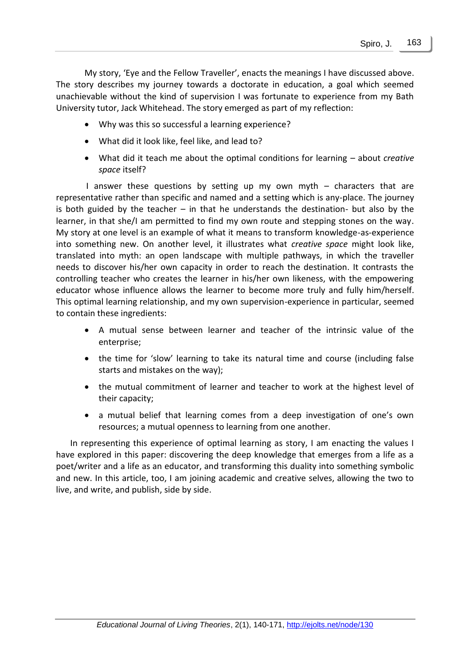My story, 'Eye and the Fellow Traveller', enacts the meanings I have discussed above. The story describes my journey towards a doctorate in education, a goal which seemed unachievable without the kind of supervision I was fortunate to experience from my Bath University tutor, Jack Whitehead. The story emerged as part of my reflection:

- Why was this so successful a learning experience?
- What did it look like, feel like, and lead to?
- What did it teach me about the optimal conditions for learning about *creative space* itself?

I answer these questions by setting up my own myth – characters that are representative rather than specific and named and a setting which is any-place. The journey is both guided by the teacher  $-$  in that he understands the destination- but also by the learner, in that she/I am permitted to find my own route and stepping stones on the way. My story at one level is an example of what it means to transform knowledge-as-experience into something new. On another level, it illustrates what *creative space* might look like, translated into myth: an open landscape with multiple pathways, in which the traveller needs to discover his/her own capacity in order to reach the destination. It contrasts the controlling teacher who creates the learner in his/her own likeness, with the empowering educator whose influence allows the learner to become more truly and fully him/herself. This optimal learning relationship, and my own supervision-experience in particular, seemed to contain these ingredients:

- A mutual sense between learner and teacher of the intrinsic value of the enterprise;
- the time for 'slow' learning to take its natural time and course (including false starts and mistakes on the way);
- the mutual commitment of learner and teacher to work at the highest level of their capacity;
- a mutual belief that learning comes from a deep investigation of one's own resources; a mutual openness to learning from one another.

In representing this experience of optimal learning as story, I am enacting the values I have explored in this paper: discovering the deep knowledge that emerges from a life as a poet/writer and a life as an educator, and transforming this duality into something symbolic and new. In this article, too, I am joining academic and creative selves, allowing the two to live, and write, and publish, side by side.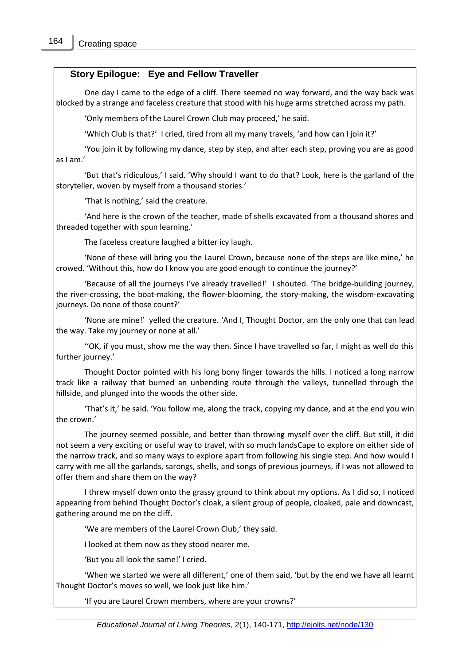#### **Story Epilogue: Eye and Fellow Traveller**

One day I came to the edge of a cliff. There seemed no way forward, and the way back was blocked by a strange and faceless creature that stood with his huge arms stretched across my path.

'Only members of the Laurel Crown Club may proceed,' he said.

'Which Club is that?' I cried, tired from all my many travels, 'and how can I join it?'

'You join it by following my dance, step by step, and after each step, proving you are as good as I am.'

'But that's ridiculous,' I said. 'Why should I want to do that? Look, here is the garland of the storyteller, woven by myself from a thousand stories.'

'That is nothing,' said the creature.

'And here is the crown of the teacher, made of shells excavated from a thousand shores and threaded together with spun learning.'

The faceless creature laughed a bitter icy laugh.

'None of these will bring you the Laurel Crown, because none of the steps are like mine,' he crowed. 'Without this, how do I know you are good enough to continue the journey?'

'Because of all the journeys I've already travelled!' I shouted. 'The bridge-building journey, the river-crossing, the boat-making, the flower-blooming, the story-making, the wisdom-excavating journeys. Do none of those count?'

'None are mine!' yelled the creature. 'And I, Thought Doctor, am the only one that can lead the way. Take my journey or none at all.'

''OK, if you must, show me the way then. Since I have travelled so far, I might as well do this further journey.'

Thought Doctor pointed with his long bony finger towards the hills. I noticed a long narrow track like a railway that burned an unbending route through the valleys, tunnelled through the hillside, and plunged into the woods the other side.

'That's it,' he said. 'You follow me, along the track, copying my dance, and at the end you win the crown.'

The journey seemed possible, and better than throwing myself over the cliff. But still, it did not seem a very exciting or useful way to travel, with so much landsCape to explore on either side of the narrow track, and so many ways to explore apart from following his single step. And how would I carry with me all the garlands, sarongs, shells, and songs of previous journeys, if I was not allowed to offer them and share them on the way?

I threw myself down onto the grassy ground to think about my options. As I did so, I noticed appearing from behind Thought Doctor's cloak, a silent group of people, cloaked, pale and downcast, gathering around me on the cliff.

'We are members of the Laurel Crown Club,' they said.

I looked at them now as they stood nearer me.

'But you all look the same!' I cried.

'When we started we were all different,' one of them said, 'but by the end we have all learnt Thought Doctor's moves so well, we look just like him.'

'If you are Laurel Crown members, where are your crowns?'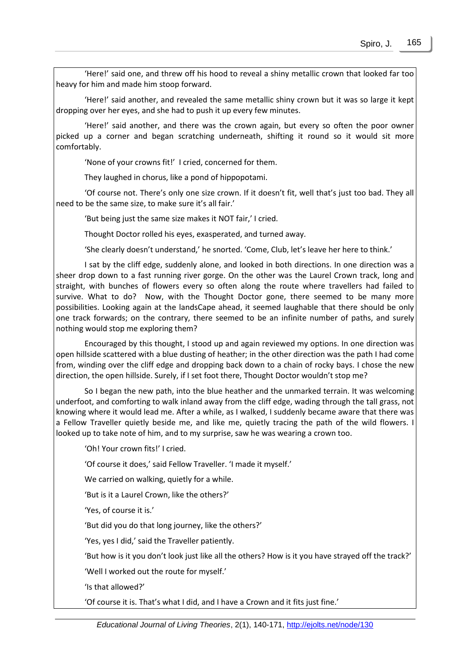'Here!' said one, and threw off his hood to reveal a shiny metallic crown that looked far too heavy for him and made him stoop forward.

'Here!' said another, and revealed the same metallic shiny crown but it was so large it kept dropping over her eyes, and she had to push it up every few minutes.

'Here!' said another, and there was the crown again, but every so often the poor owner picked up a corner and began scratching underneath, shifting it round so it would sit more comfortably.

'None of your crowns fit!' I cried, concerned for them.

They laughed in chorus, like a pond of hippopotami.

'Of course not. There's only one size crown. If it doesn't fit, well that's just too bad. They all need to be the same size, to make sure it's all fair.'

'But being just the same size makes it NOT fair,' I cried.

Thought Doctor rolled his eyes, exasperated, and turned away.

'She clearly doesn't understand,' he snorted. 'Come, Club, let's leave her here to think.'

I sat by the cliff edge, suddenly alone, and looked in both directions. In one direction was a sheer drop down to a fast running river gorge. On the other was the Laurel Crown track, long and straight, with bunches of flowers every so often along the route where travellers had failed to survive. What to do? Now, with the Thought Doctor gone, there seemed to be many more possibilities. Looking again at the landsCape ahead, it seemed laughable that there should be only one track forwards; on the contrary, there seemed to be an infinite number of paths, and surely nothing would stop me exploring them?

Encouraged by this thought, I stood up and again reviewed my options. In one direction was open hillside scattered with a blue dusting of heather; in the other direction was the path I had come from, winding over the cliff edge and dropping back down to a chain of rocky bays. I chose the new direction, the open hillside. Surely, if I set foot there, Thought Doctor wouldn't stop me?

So I began the new path, into the blue heather and the unmarked terrain. It was welcoming underfoot, and comforting to walk inland away from the cliff edge, wading through the tall grass, not knowing where it would lead me. After a while, as I walked, I suddenly became aware that there was a Fellow Traveller quietly beside me, and like me, quietly tracing the path of the wild flowers. I looked up to take note of him, and to my surprise, saw he was wearing a crown too.

'Oh! Your crown fits!' I cried.

'Of course it does,' said Fellow Traveller. 'I made it myself.'

We carried on walking, quietly for a while.

'But is it a Laurel Crown, like the others?'

'Yes, of course it is.'

'But did you do that long journey, like the others?'

'Yes, yes I did,' said the Traveller patiently.

'But how is it you don't look just like all the others? How is it you have strayed off the track?'

'Well I worked out the route for myself.'

'Is that allowed?'

'Of course it is. That's what I did, and I have a Crown and it fits just fine.'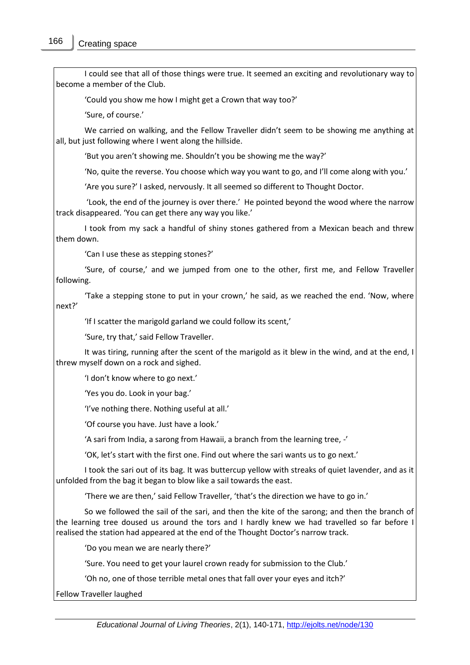I could see that all of those things were true. It seemed an exciting and revolutionary way to become a member of the Club.

'Could you show me how I might get a Crown that way too?'

'Sure, of course.'

We carried on walking, and the Fellow Traveller didn't seem to be showing me anything at all, but just following where I went along the hillside.

'But you aren't showing me. Shouldn't you be showing me the way?'

'No, quite the reverse. You choose which way you want to go, and I'll come along with you.'

'Are you sure?' I asked, nervously. It all seemed so different to Thought Doctor.

'Look, the end of the journey is over there.' He pointed beyond the wood where the narrow track disappeared. 'You can get there any way you like.'

I took from my sack a handful of shiny stones gathered from a Mexican beach and threw them down.

'Can I use these as stepping stones?'

'Sure, of course,' and we jumped from one to the other, first me, and Fellow Traveller following.

'Take a stepping stone to put in your crown,' he said, as we reached the end. 'Now, where next?'

'If I scatter the marigold garland we could follow its scent,'

'Sure, try that,' said Fellow Traveller.

It was tiring, running after the scent of the marigold as it blew in the wind, and at the end, I threw myself down on a rock and sighed.

'I don't know where to go next.'

'Yes you do. Look in your bag.'

'I've nothing there. Nothing useful at all.'

'Of course you have. Just have a look.'

'A sari from India, a sarong from Hawaii, a branch from the learning tree, -'

'OK, let's start with the first one. Find out where the sari wants us to go next.'

I took the sari out of its bag. It was buttercup yellow with streaks of quiet lavender, and as it unfolded from the bag it began to blow like a sail towards the east.

'There we are then,' said Fellow Traveller, 'that's the direction we have to go in.'

So we followed the sail of the sari, and then the kite of the sarong; and then the branch of the learning tree doused us around the tors and I hardly knew we had travelled so far before I realised the station had appeared at the end of the Thought Doctor's narrow track.

'Do you mean we are nearly there?'

'Sure. You need to get your laurel crown ready for submission to the Club.'

'Oh no, one of those terrible metal ones that fall over your eyes and itch?'

Fellow Traveller laughed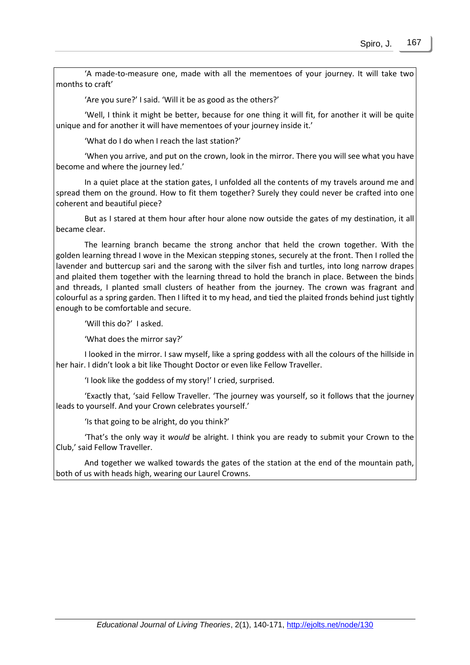'A made-to-measure one, made with all the mementoes of your journey. It will take two months to craft'

'Are you sure?' I said. 'Will it be as good as the others?'

'Well, I think it might be better, because for one thing it will fit, for another it will be quite unique and for another it will have mementoes of your journey inside it.'

'What do I do when I reach the last station?'

'When you arrive, and put on the crown, look in the mirror. There you will see what you have become and where the journey led.'

In a quiet place at the station gates, I unfolded all the contents of my travels around me and spread them on the ground. How to fit them together? Surely they could never be crafted into one coherent and beautiful piece?

But as I stared at them hour after hour alone now outside the gates of my destination, it all became clear.

The learning branch became the strong anchor that held the crown together. With the golden learning thread I wove in the Mexican stepping stones, securely at the front. Then I rolled the lavender and buttercup sari and the sarong with the silver fish and turtles, into long narrow drapes and plaited them together with the learning thread to hold the branch in place. Between the binds and threads, I planted small clusters of heather from the journey. The crown was fragrant and colourful as a spring garden. Then I lifted it to my head, and tied the plaited fronds behind just tightly enough to be comfortable and secure.

'Will this do?' I asked.

'What does the mirror say?'

I looked in the mirror. I saw myself, like a spring goddess with all the colours of the hillside in her hair. I didn't look a bit like Thought Doctor or even like Fellow Traveller.

'I look like the goddess of my story!' I cried, surprised.

'Exactly that, 'said Fellow Traveller. 'The journey was yourself, so it follows that the journey leads to yourself. And your Crown celebrates yourself.'

'Is that going to be alright, do you think?'

'That's the only way it *would* be alright. I think you are ready to submit your Crown to the Club,' said Fellow Traveller.

And together we walked towards the gates of the station at the end of the mountain path, both of us with heads high, wearing our Laurel Crowns.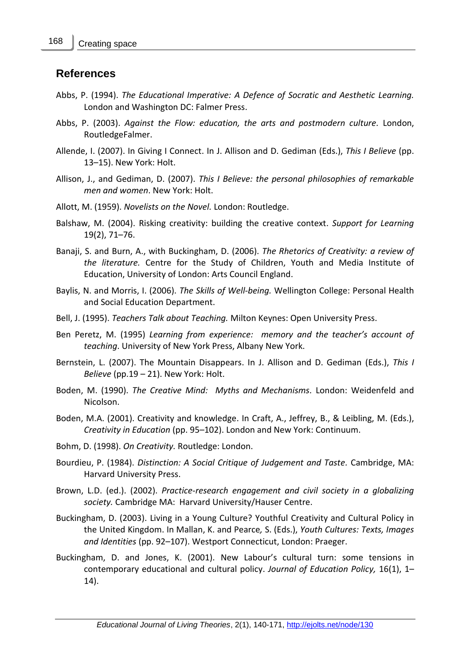#### **References**

- Abbs, P. (1994). *The Educational Imperative: A Defence of Socratic and Aesthetic Learning.* London and Washington DC: Falmer Press.
- Abbs, P. (2003). *Against the Flow: education, the arts and postmodern culture.* London, RoutledgeFalmer.
- Allende, I. (2007). In Giving I Connect. In J. Allison and D. Gediman (Eds.), *This I Believe* (pp. 13–15). New York: Holt.
- Allison, J., and Gediman, D. (2007). *This I Believe: the personal philosophies of remarkable men and women*. New York: Holt.
- Allott, M. (1959). *Novelists on the Novel.* London: Routledge.
- Balshaw, M. (2004). Risking creativity: building the creative context. *Support for Learning*  19(2), 71–76.
- Banaji, S. and Burn, A., with Buckingham, D. (2006). *The Rhetorics of Creativity: a review of the literature.* Centre for the Study of Children, Youth and Media Institute of Education, University of London: Arts Council England.
- Baylis, N. and Morris, I. (2006). *The Skills of Well-being.* Wellington College: Personal Health and Social Education Department.
- Bell, J. (1995). *Teachers Talk about Teaching.* Milton Keynes: Open University Press.
- Ben Peretz, M. (1995) *Learning from experience: memory and the teacher's account of teaching*. University of New York Press, Albany New York.
- Bernstein, L. (2007). The Mountain Disappears. In J. Allison and D. Gediman (Eds.), *This I Believe* (pp.19 – 21). New York: Holt.
- Boden, M. (1990). *The Creative Mind: Myths and Mechanisms.* London: Weidenfeld and Nicolson.
- Boden, M.A. (2001). Creativity and knowledge. In Craft, A., Jeffrey, B., & Leibling, M. (Eds.), *Creativity in Education* (pp. 95–102). London and New York: Continuum.
- Bohm, D. (1998). *On Creativity.* Routledge: London.
- Bourdieu, P. (1984). *Distinction: A Social Critique of Judgement and Taste.* Cambridge, MA: Harvard University Press.
- Brown, L.D. (ed.). (2002). *Practice-research engagement and civil society in a globalizing society.* Cambridge MA: Harvard University/Hauser Centre.
- Buckingham, D. (2003). Living in a Young Culture? Youthful Creativity and Cultural Policy in the United Kingdom. In Mallan, K. and Pearce*,* S. (Eds.), *Youth Cultures: Texts, Images and Identities* (pp. 92–107). Westport Connecticut, London: Praeger.
- Buckingham, D. and Jones, K. (2001). New Labour's cultural turn: some tensions in contemporary educational and cultural policy. *Journal of Education Policy,* 16(1), 1– 14).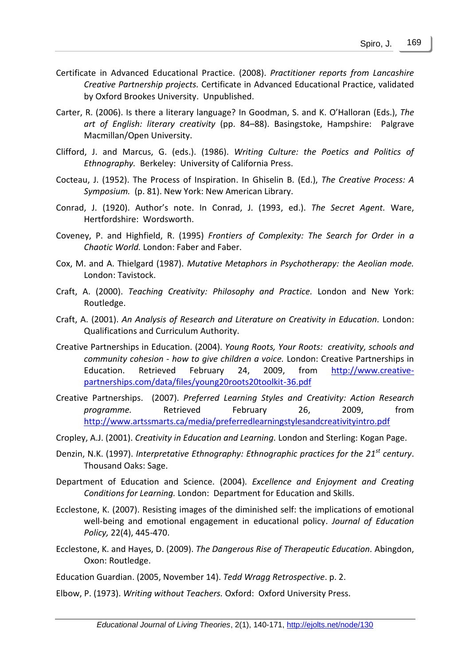- Certificate in Advanced Educational Practice. (2008). *Practitioner reports from Lancashire Creative Partnership projects.* Certificate in Advanced Educational Practice, validated by Oxford Brookes University. Unpublished.
- Carter, R. (2006). Is there a literary language? In Goodman, S. and K. O'Halloran (Eds.), *The art of English: literary creativity* (pp. 84–88). Basingstoke, Hampshire: Palgrave Macmillan/Open University.
- Clifford, J. and Marcus, G. (eds.). (1986). *Writing Culture: the Poetics and Politics of Ethnography.* Berkeley: University of California Press.
- Cocteau, J. (1952). The Process of Inspiration. In Ghiselin B. (Ed.), *The Creative Process: A Symposium.* (p. 81). New York: New American Library.
- Conrad, J. (1920). Author's note. In Conrad, J. (1993, ed.). *The Secret Agent.* Ware, Hertfordshire: Wordsworth.
- Coveney, P. and Highfield, R. (1995) *Frontiers of Complexity: The Search for Order in a Chaotic World.* London: Faber and Faber.
- Cox, M. and A. Thielgard (1987). *Mutative Metaphors in Psychotherapy: the Aeolian mode.*  London: Tavistock.
- Craft, A. (2000). *Teaching Creativity: Philosophy and Practice.* London and New York: Routledge.
- Craft, A. (2001). *An Analysis of Research and Literature on Creativity in Education.* London: Qualifications and Curriculum Authority.
- Creative Partnerships in Education. (2004). *Young Roots, Your Roots: creativity, schools and community cohesion - how to give children a voice.* London: Creative Partnerships in Education. Retrieved February 24, 2009, from [http://www.creative](http://www.creative-partnerships.com/data/files/young20roots20toolkit-36.pdf)[partnerships.com/data/files/young20roots20toolkit-36.pdf](http://www.creative-partnerships.com/data/files/young20roots20toolkit-36.pdf)
- Creative Partnerships. (2007). *Preferred Learning Styles and Creativity: Action Research programme.* Retrieved February 26, 2009, from <http://www.artssmarts.ca/media/preferredlearningstylesandcreativityintro.pdf>
- Cropley, A.J. (2001). *Creativity in Education and Learning.* London and Sterling: Kogan Page.
- Denzin, N.K. (1997). *Interpretative Ethnography: Ethnographic practices for the 21st century*. Thousand Oaks: Sage.
- Department of Education and Science. (2004). *Excellence and Enjoyment and Creating Conditions for Learning.* London: Department for Education and Skills.
- Ecclestone, K. (2007). Resisting images of the diminished self: the implications of emotional well-being and emotional engagement in educational policy. *Journal of Education Policy,* 22(4), 445-470.
- Ecclestone, K. and Hayes, D. (2009). *The Dangerous Rise of Therapeutic Education.* Abingdon, Oxon: Routledge.

Education Guardian. (2005, November 14). *Tedd Wragg Retrospective*. p. 2.

Elbow, P. (1973). *Writing without Teachers.* Oxford: Oxford University Press.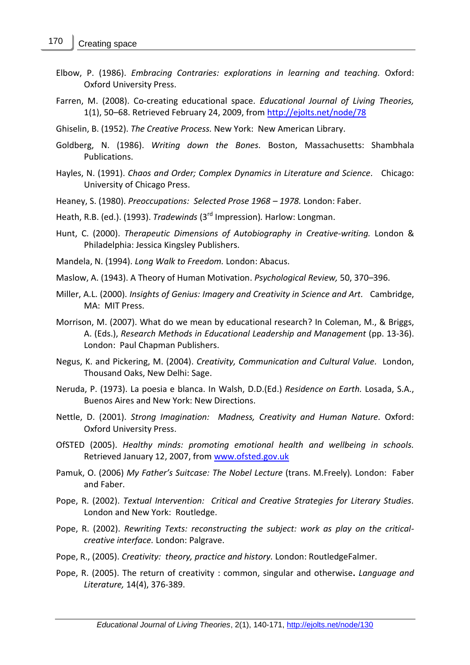- Elbow, P. (1986). *Embracing Contraries: explorations in learning and teaching.* Oxford: Oxford University Press.
- Farren, M. (2008). Co-creating educational space. *Educational Journal of Living Theories,* 1(1), 50–68. Retrieved February 24, 2009, from<http://ejolts.net/node/78>
- Ghiselin, B. (1952). *The Creative Process.* New York: New American Library.
- Goldberg, N. (1986). *Writing down the Bones.* Boston, Massachusetts: Shambhala Publications.
- Hayles, N. (1991). *Chaos and Order; Complex Dynamics in Literature and Science.* Chicago: University of Chicago Press.
- Heaney, S. (1980). *Preoccupations: Selected Prose 1968 – 1978.* London: Faber.
- Heath, R.B. (ed.). (1993). *Tradewinds* (3rd Impression)*.* Harlow: Longman.
- Hunt, C. (2000). *Therapeutic Dimensions of Autobiography in Creative-writing.* London & Philadelphia: Jessica Kingsley Publishers.
- Mandela, N. (1994). *Long Walk to Freedom.* London: Abacus.
- Maslow, A. (1943). A Theory of Human Motivation. *Psychological Review,* 50, 370–396.
- Miller, A.L. (2000). *Insights of Genius: Imagery and Creativity in Science and Art.* Cambridge, MA: MIT Press.
- Morrison, M. (2007). What do we mean by educational research? In Coleman, M., & Briggs, A. (Eds.), *Research Methods in Educational Leadership and Management* (pp. 13-36). London: Paul Chapman Publishers.
- Negus, K. and Pickering, M. (2004). *Creativity, Communication and Cultural Value.* London, Thousand Oaks, New Delhi: Sage.
- Neruda, P. (1973). La poesia e blanca. In Walsh, D.D.(Ed.) *Residence on Earth.* Losada, S.A., Buenos Aires and New York: New Directions.
- Nettle, D. (2001). *Strong Imagination: Madness, Creativity and Human Nature.* Oxford: Oxford University Press.
- OfSTED (2005). *Healthy minds: promoting emotional health and wellbeing in schools.* Retrieved January 12, 2007, from [www.ofsted.gov.uk](http://www.ofsted.gov.uk/)
- Pamuk, O. (2006) *My Father's Suitcase: The Nobel Lecture* (trans. M.Freely)*.* London: Faber and Faber.
- Pope, R. (2002). *Textual Intervention: Critical and Creative Strategies for Literary Studies.* London and New York: Routledge.
- Pope, R. (2002). *Rewriting Texts: reconstructing the subject: work as play on the criticalcreative interface.* London: Palgrave.
- Pope, R., (2005). *Creativity: theory, practice and history.* London: RoutledgeFalmer.
- Pope, R. (2005). The return of creativity : common, singular and otherwise**.** *Language and Literature,* 14(4), 376-389.